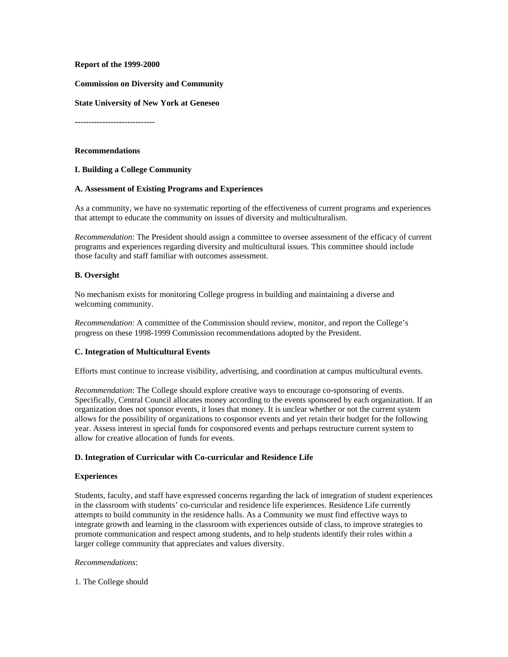#### **Report of the 1999-2000**

**Commission on Diversity and Community**

**State University of New York at Geneseo**

**-----------------------------**

#### **Recommendations**

### **I. Building a College Community**

#### **A. Assessment of Existing Programs and Experiences**

As a community, we have no systematic reporting of the effectiveness of current programs and experiences that attempt to educate the community on issues of diversity and multiculturalism.

*Recommendation*: The President should assign a committee to oversee assessment of the efficacy of current programs and experiences regarding diversity and multicultural issues. This committee should include those faculty and staff familiar with outcomes assessment.

#### **B. Oversight**

No mechanism exists for monitoring College progress in building and maintaining a diverse and welcoming community.

*Recommendation*: A committee of the Commission should review, monitor, and report the College's progress on these 1998-1999 Commission recommendations adopted by the President.

#### **C. Integration of Multicultural Events**

Efforts must continue to increase visibility, advertising, and coordination at campus multicultural events.

*Recommendation*: The College should explore creative ways to encourage co-sponsoring of events. Specifically, Central Council allocates money according to the events sponsored by each organization. If an organization does not sponsor events, it loses that money. It is unclear whether or not the current system allows for the possibility of organizations to cosponsor events and yet retain their budget for the following year. Assess interest in special funds for cosponsored events and perhaps restructure current system to allow for creative allocation of funds for events.

#### **D. Integration of Curricular with Co-curricular and Residence Life**

#### **Experiences**

Students, faculty, and staff have expressed concerns regarding the lack of integration of student experiences in the classroom with students' co-curricular and residence life experiences. Residence Life currently attempts to build community in the residence halls. As a Community we must find effective ways to integrate growth and learning in the classroom with experiences outside of class, to improve strategies to promote communication and respect among students, and to help students identify their roles within a larger college community that appreciates and values diversity.

#### *Recommendations*:

1. The College should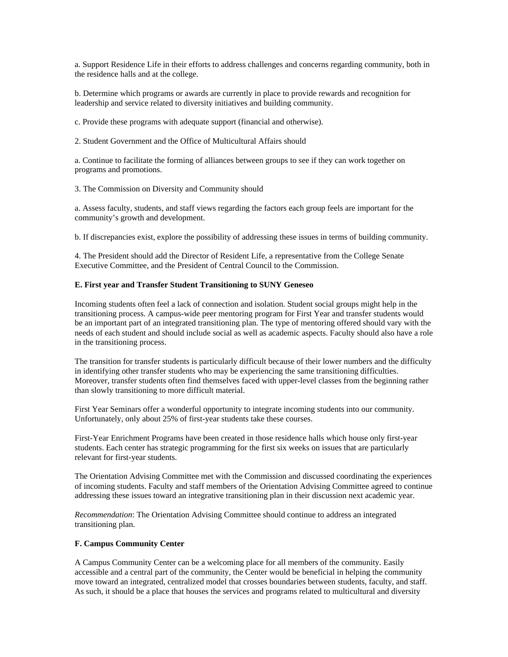a. Support Residence Life in their efforts to address challenges and concerns regarding community, both in the residence halls and at the college.

b. Determine which programs or awards are currently in place to provide rewards and recognition for leadership and service related to diversity initiatives and building community.

c. Provide these programs with adequate support (financial and otherwise).

2. Student Government and the Office of Multicultural Affairs should

a. Continue to facilitate the forming of alliances between groups to see if they can work together on programs and promotions.

3. The Commission on Diversity and Community should

a. Assess faculty, students, and staff views regarding the factors each group feels are important for the community's growth and development.

b. If discrepancies exist, explore the possibility of addressing these issues in terms of building community.

4. The President should add the Director of Resident Life, a representative from the College Senate Executive Committee, and the President of Central Council to the Commission.

#### **E. First year and Transfer Student Transitioning to SUNY Geneseo**

Incoming students often feel a lack of connection and isolation. Student social groups might help in the transitioning process. A campus-wide peer mentoring program for First Year and transfer students would be an important part of an integrated transitioning plan. The type of mentoring offered should vary with the needs of each student and should include social as well as academic aspects. Faculty should also have a role in the transitioning process.

The transition for transfer students is particularly difficult because of their lower numbers and the difficulty in identifying other transfer students who may be experiencing the same transitioning difficulties. Moreover, transfer students often find themselves faced with upper-level classes from the beginning rather than slowly transitioning to more difficult material.

First Year Seminars offer a wonderful opportunity to integrate incoming students into our community. Unfortunately, only about 25% of first-year students take these courses.

First-Year Enrichment Programs have been created in those residence halls which house only first-year students. Each center has strategic programming for the first six weeks on issues that are particularly relevant for first-year students.

The Orientation Advising Committee met with the Commission and discussed coordinating the experiences of incoming students. Faculty and staff members of the Orientation Advising Committee agreed to continue addressing these issues toward an integrative transitioning plan in their discussion next academic year.

*Recommendation*: The Orientation Advising Committee should continue to address an integrated transitioning plan.

### **F. Campus Community Center**

A Campus Community Center can be a welcoming place for all members of the community. Easily accessible and a central part of the community, the Center would be beneficial in helping the community move toward an integrated, centralized model that crosses boundaries between students, faculty, and staff. As such, it should be a place that houses the services and programs related to multicultural and diversity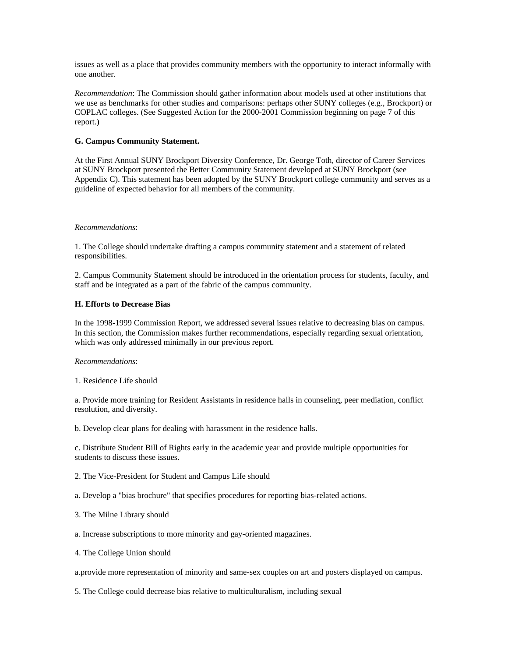issues as well as a place that provides community members with the opportunity to interact informally with one another.

*Recommendation*: The Commission should gather information about models used at other institutions that we use as benchmarks for other studies and comparisons: perhaps other SUNY colleges (e.g., Brockport) or COPLAC colleges. (See Suggested Action for the 2000-2001 Commission beginning on page 7 of this report.)

## **G. Campus Community Statement.**

At the First Annual SUNY Brockport Diversity Conference, Dr. George Toth, director of Career Services at SUNY Brockport presented the Better Community Statement developed at SUNY Brockport (see Appendix C). This statement has been adopted by the SUNY Brockport college community and serves as a guideline of expected behavior for all members of the community.

#### *Recommendations*:

1. The College should undertake drafting a campus community statement and a statement of related responsibilities.

2. Campus Community Statement should be introduced in the orientation process for students, faculty, and staff and be integrated as a part of the fabric of the campus community.

#### **H. Efforts to Decrease Bias**

In the 1998-1999 Commission Report, we addressed several issues relative to decreasing bias on campus. In this section, the Commission makes further recommendations, especially regarding sexual orientation, which was only addressed minimally in our previous report.

#### *Recommendations*:

1. Residence Life should

a. Provide more training for Resident Assistants in residence halls in counseling, peer mediation, conflict resolution, and diversity.

b. Develop clear plans for dealing with harassment in the residence halls.

c. Distribute Student Bill of Rights early in the academic year and provide multiple opportunities for students to discuss these issues.

2. The Vice-President for Student and Campus Life should

a. Develop a "bias brochure" that specifies procedures for reporting bias-related actions.

- 3. The Milne Library should
- a. Increase subscriptions to more minority and gay-oriented magazines.
- 4. The College Union should

a.provide more representation of minority and same-sex couples on art and posters displayed on campus.

5. The College could decrease bias relative to multiculturalism, including sexual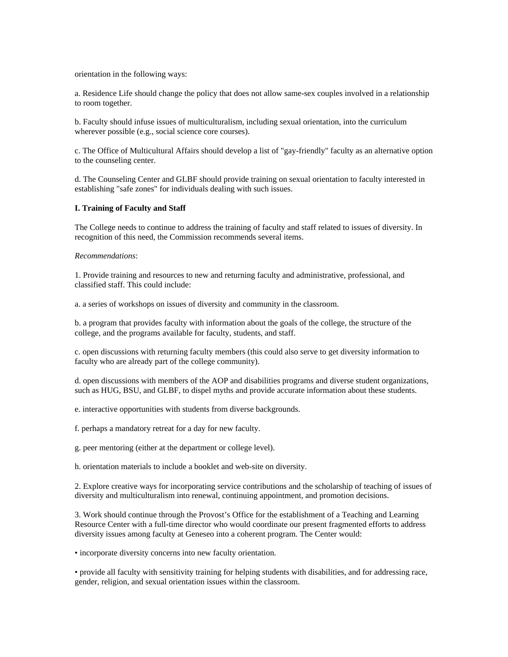orientation in the following ways:

a. Residence Life should change the policy that does not allow same-sex couples involved in a relationship to room together.

b. Faculty should infuse issues of multiculturalism, including sexual orientation, into the curriculum wherever possible (e.g., social science core courses).

c. The Office of Multicultural Affairs should develop a list of "gay-friendly" faculty as an alternative option to the counseling center.

d. The Counseling Center and GLBF should provide training on sexual orientation to faculty interested in establishing "safe zones" for individuals dealing with such issues.

#### **I. Training of Faculty and Staff**

The College needs to continue to address the training of faculty and staff related to issues of diversity. In recognition of this need, the Commission recommends several items.

#### *Recommendations*:

1. Provide training and resources to new and returning faculty and administrative, professional, and classified staff. This could include:

a. a series of workshops on issues of diversity and community in the classroom.

b. a program that provides faculty with information about the goals of the college, the structure of the college, and the programs available for faculty, students, and staff.

c. open discussions with returning faculty members (this could also serve to get diversity information to faculty who are already part of the college community).

d. open discussions with members of the AOP and disabilities programs and diverse student organizations, such as HUG, BSU, and GLBF, to dispel myths and provide accurate information about these students.

e. interactive opportunities with students from diverse backgrounds.

f. perhaps a mandatory retreat for a day for new faculty.

g. peer mentoring (either at the department or college level).

h. orientation materials to include a booklet and web-site on diversity.

2. Explore creative ways for incorporating service contributions and the scholarship of teaching of issues of diversity and multiculturalism into renewal, continuing appointment, and promotion decisions.

3. Work should continue through the Provost's Office for the establishment of a Teaching and Learning Resource Center with a full-time director who would coordinate our present fragmented efforts to address diversity issues among faculty at Geneseo into a coherent program. The Center would:

• incorporate diversity concerns into new faculty orientation.

• provide all faculty with sensitivity training for helping students with disabilities, and for addressing race, gender, religion, and sexual orientation issues within the classroom.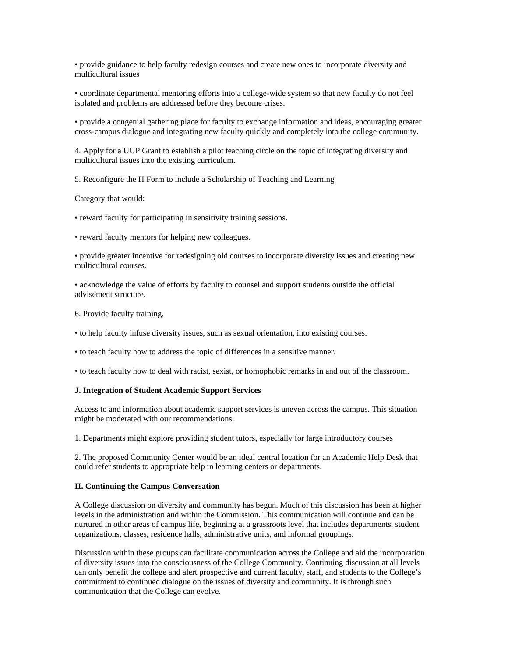• provide guidance to help faculty redesign courses and create new ones to incorporate diversity and multicultural issues

• coordinate departmental mentoring efforts into a college-wide system so that new faculty do not feel isolated and problems are addressed before they become crises.

• provide a congenial gathering place for faculty to exchange information and ideas, encouraging greater cross-campus dialogue and integrating new faculty quickly and completely into the college community.

4. Apply for a UUP Grant to establish a pilot teaching circle on the topic of integrating diversity and multicultural issues into the existing curriculum.

5. Reconfigure the H Form to include a Scholarship of Teaching and Learning

Category that would:

• reward faculty for participating in sensitivity training sessions.

• reward faculty mentors for helping new colleagues.

• provide greater incentive for redesigning old courses to incorporate diversity issues and creating new multicultural courses.

• acknowledge the value of efforts by faculty to counsel and support students outside the official advisement structure.

6. Provide faculty training.

• to help faculty infuse diversity issues, such as sexual orientation, into existing courses.

• to teach faculty how to address the topic of differences in a sensitive manner.

• to teach faculty how to deal with racist, sexist, or homophobic remarks in and out of the classroom.

#### **J. Integration of Student Academic Support Services**

Access to and information about academic support services is uneven across the campus. This situation might be moderated with our recommendations.

1. Departments might explore providing student tutors, especially for large introductory courses

2. The proposed Community Center would be an ideal central location for an Academic Help Desk that could refer students to appropriate help in learning centers or departments.

#### **II. Continuing the Campus Conversation**

A College discussion on diversity and community has begun. Much of this discussion has been at higher levels in the administration and within the Commission. This communication will continue and can be nurtured in other areas of campus life, beginning at a grassroots level that includes departments, student organizations, classes, residence halls, administrative units, and informal groupings.

Discussion within these groups can facilitate communication across the College and aid the incorporation of diversity issues into the consciousness of the College Community. Continuing discussion at all levels can only benefit the college and alert prospective and current faculty, staff, and students to the College's commitment to continued dialogue on the issues of diversity and community. It is through such communication that the College can evolve.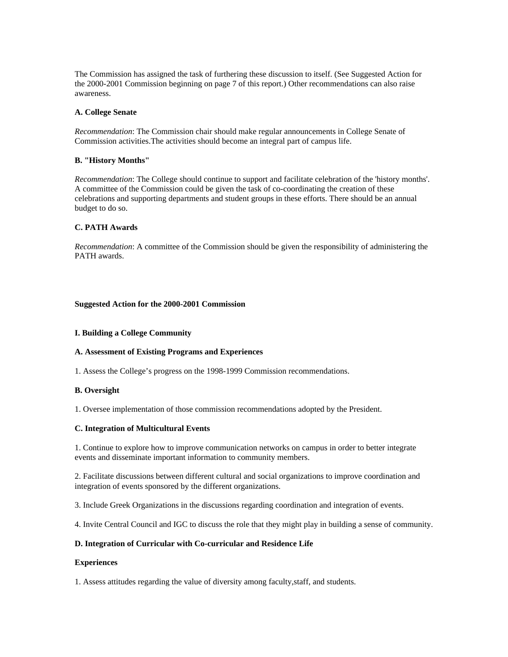The Commission has assigned the task of furthering these discussion to itself. (See Suggested Action for the 2000-2001 Commission beginning on page 7 of this report.) Other recommendations can also raise awareness.

### **A. College Senate**

*Recommendation*: The Commission chair should make regular announcements in College Senate of Commission activities.The activities should become an integral part of campus life.

## **B. "History Months"**

*Recommendation*: The College should continue to support and facilitate celebration of the 'history months'. A committee of the Commission could be given the task of co-coordinating the creation of these celebrations and supporting departments and student groups in these efforts. There should be an annual budget to do so.

## **C. PATH Awards**

*Recommendation*: A committee of the Commission should be given the responsibility of administering the PATH awards.

#### **Suggested Action for the 2000-2001 Commission**

#### **I. Building a College Community**

#### **A. Assessment of Existing Programs and Experiences**

1. Assess the College's progress on the 1998-1999 Commission recommendations.

#### **B. Oversight**

1. Oversee implementation of those commission recommendations adopted by the President.

### **C. Integration of Multicultural Events**

1. Continue to explore how to improve communication networks on campus in order to better integrate events and disseminate important information to community members.

2. Facilitate discussions between different cultural and social organizations to improve coordination and integration of events sponsored by the different organizations.

3. Include Greek Organizations in the discussions regarding coordination and integration of events.

4. Invite Central Council and IGC to discuss the role that they might play in building a sense of community.

### **D. Integration of Curricular with Co-curricular and Residence Life**

#### **Experiences**

1. Assess attitudes regarding the value of diversity among faculty,staff, and students.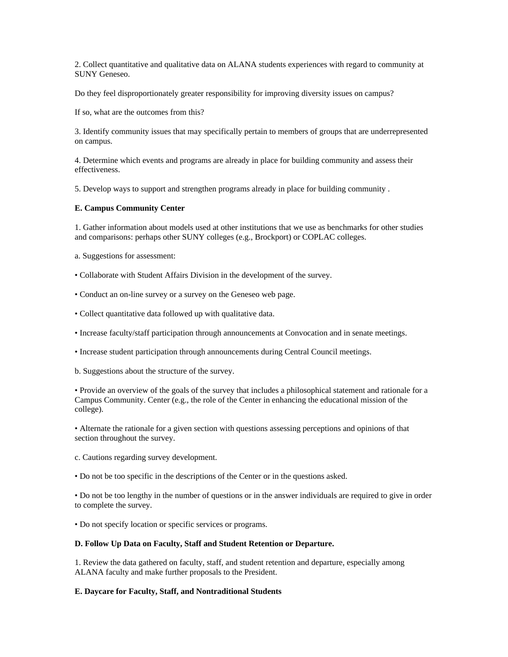2. Collect quantitative and qualitative data on ALANA students experiences with regard to community at SUNY Geneseo.

Do they feel disproportionately greater responsibility for improving diversity issues on campus?

If so, what are the outcomes from this?

3. Identify community issues that may specifically pertain to members of groups that are underrepresented on campus.

4. Determine which events and programs are already in place for building community and assess their effectiveness.

5. Develop ways to support and strengthen programs already in place for building community .

## **E. Campus Community Center**

1. Gather information about models used at other institutions that we use as benchmarks for other studies and comparisons: perhaps other SUNY colleges (e.g., Brockport) or COPLAC colleges.

a. Suggestions for assessment:

- Collaborate with Student Affairs Division in the development of the survey.
- Conduct an on-line survey or a survey on the Geneseo web page.
- Collect quantitative data followed up with qualitative data.
- Increase faculty/staff participation through announcements at Convocation and in senate meetings.
- Increase student participation through announcements during Central Council meetings.
- b. Suggestions about the structure of the survey.

• Provide an overview of the goals of the survey that includes a philosophical statement and rationale for a Campus Community. Center (e.g., the role of the Center in enhancing the educational mission of the college).

• Alternate the rationale for a given section with questions assessing perceptions and opinions of that section throughout the survey.

- c. Cautions regarding survey development.
- Do not be too specific in the descriptions of the Center or in the questions asked.

• Do not be too lengthy in the number of questions or in the answer individuals are required to give in order to complete the survey.

• Do not specify location or specific services or programs.

## **D. Follow Up Data on Faculty, Staff and Student Retention or Departure.**

1. Review the data gathered on faculty, staff, and student retention and departure, especially among ALANA faculty and make further proposals to the President.

# **E. Daycare for Faculty, Staff, and Nontraditional Students**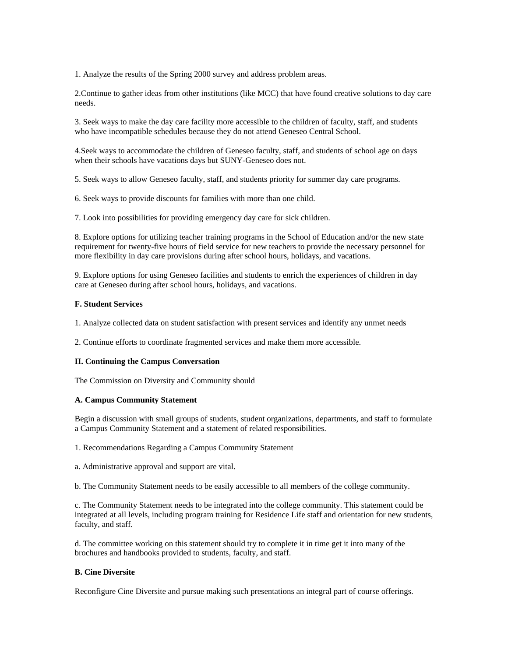1. Analyze the results of the Spring 2000 survey and address problem areas.

2.Continue to gather ideas from other institutions (like MCC) that have found creative solutions to day care needs.

3. Seek ways to make the day care facility more accessible to the children of faculty, staff, and students who have incompatible schedules because they do not attend Geneseo Central School.

4.Seek ways to accommodate the children of Geneseo faculty, staff, and students of school age on days when their schools have vacations days but SUNY-Geneseo does not.

5. Seek ways to allow Geneseo faculty, staff, and students priority for summer day care programs.

6. Seek ways to provide discounts for families with more than one child.

7. Look into possibilities for providing emergency day care for sick children.

8. Explore options for utilizing teacher training programs in the School of Education and/or the new state requirement for twenty-five hours of field service for new teachers to provide the necessary personnel for more flexibility in day care provisions during after school hours, holidays, and vacations.

9. Explore options for using Geneseo facilities and students to enrich the experiences of children in day care at Geneseo during after school hours, holidays, and vacations.

#### **F. Student Services**

1. Analyze collected data on student satisfaction with present services and identify any unmet needs

2. Continue efforts to coordinate fragmented services and make them more accessible.

#### **II. Continuing the Campus Conversation**

The Commission on Diversity and Community should

#### **A. Campus Community Statement**

Begin a discussion with small groups of students, student organizations, departments, and staff to formulate a Campus Community Statement and a statement of related responsibilities.

1. Recommendations Regarding a Campus Community Statement

a. Administrative approval and support are vital.

b. The Community Statement needs to be easily accessible to all members of the college community.

c. The Community Statement needs to be integrated into the college community. This statement could be integrated at all levels, including program training for Residence Life staff and orientation for new students, faculty, and staff.

d. The committee working on this statement should try to complete it in time get it into many of the brochures and handbooks provided to students, faculty, and staff.

#### **B. Cine Diversite**

Reconfigure Cine Diversite and pursue making such presentations an integral part of course offerings.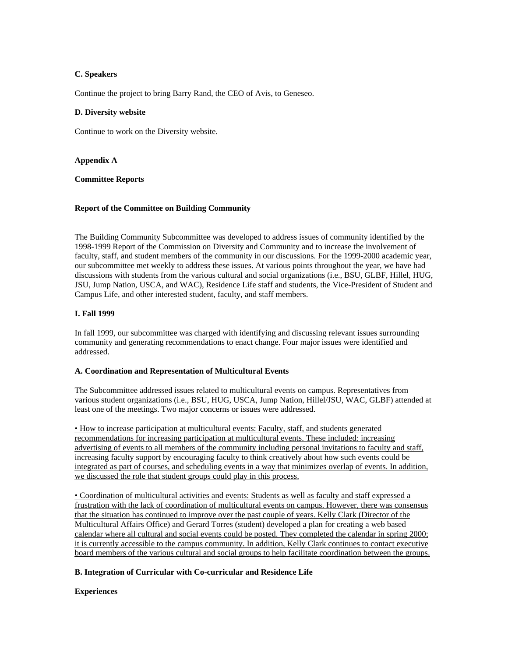# **C. Speakers**

Continue the project to bring Barry Rand, the CEO of Avis, to Geneseo.

### **D. Diversity website**

Continue to work on the Diversity website.

**Appendix A**

## **Committee Reports**

## **Report of the Committee on Building Community**

The Building Community Subcommittee was developed to address issues of community identified by the 1998-1999 Report of the Commission on Diversity and Community and to increase the involvement of faculty, staff, and student members of the community in our discussions. For the 1999-2000 academic year, our subcommittee met weekly to address these issues. At various points throughout the year, we have had discussions with students from the various cultural and social organizations (i.e., BSU, GLBF, Hillel, HUG, JSU, Jump Nation, USCA, and WAC), Residence Life staff and students, the Vice-President of Student and Campus Life, and other interested student, faculty, and staff members.

## **I. Fall 1999**

In fall 1999, our subcommittee was charged with identifying and discussing relevant issues surrounding community and generating recommendations to enact change. Four major issues were identified and addressed.

#### **A. Coordination and Representation of Multicultural Events**

The Subcommittee addressed issues related to multicultural events on campus. Representatives from various student organizations (i.e., BSU, HUG, USCA, Jump Nation, Hillel/JSU, WAC, GLBF) attended at least one of the meetings. Two major concerns or issues were addressed.

• How to increase participation at multicultural events: Faculty, staff, and students generated recommendations for increasing participation at multicultural events. These included: increasing advertising of events to all members of the community including personal invitations to faculty and staff, increasing faculty support by encouraging faculty to think creatively about how such events could be integrated as part of courses, and scheduling events in a way that minimizes overlap of events. In addition, we discussed the role that student groups could play in this process.

• Coordination of multicultural activities and events: Students as well as faculty and staff expressed a frustration with the lack of coordination of multicultural events on campus. However, there was consensus that the situation has continued to improve over the past couple of years. Kelly Clark (Director of the Multicultural Affairs Office) and Gerard Torres (student) developed a plan for creating a web based calendar where all cultural and social events could be posted. They completed the calendar in spring 2000; it is currently accessible to the campus community. In addition, Kelly Clark continues to contact executive board members of the various cultural and social groups to help facilitate coordination between the groups.

# **B. Integration of Curricular with Co-curricular and Residence Life**

#### **Experiences**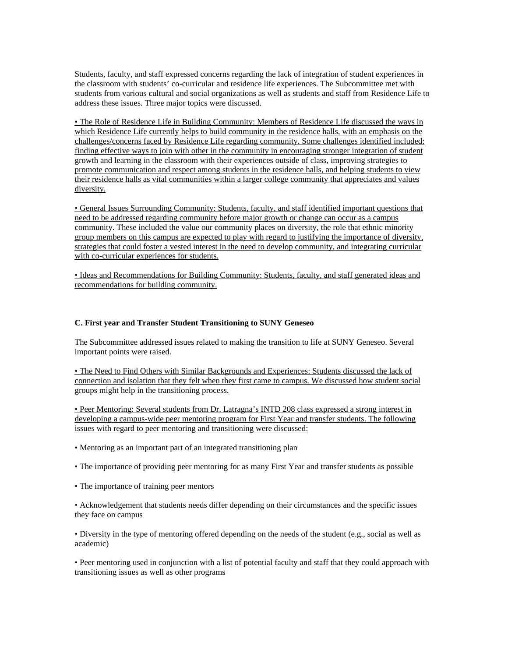Students, faculty, and staff expressed concerns regarding the lack of integration of student experiences in the classroom with students' co-curricular and residence life experiences. The Subcommittee met with students from various cultural and social organizations as well as students and staff from Residence Life to address these issues. Three major topics were discussed.

• The Role of Residence Life in Building Community: Members of Residence Life discussed the ways in which Residence Life currently helps to build community in the residence halls, with an emphasis on the challenges/concerns faced by Residence Life regarding community. Some challenges identified included: finding effective ways to join with other in the community in encouraging stronger integration of student growth and learning in the classroom with their experiences outside of class, improving strategies to promote communication and respect among students in the residence halls, and helping students to view their residence halls as vital communities within a larger college community that appreciates and values diversity.

• General Issues Surrounding Community: Students, faculty, and staff identified important questions that need to be addressed regarding community before major growth or change can occur as a campus community. These included the value our community places on diversity, the role that ethnic minority group members on this campus are expected to play with regard to justifying the importance of diversity, strategies that could foster a vested interest in the need to develop community, and integrating curricular with co-curricular experiences for students.

• Ideas and Recommendations for Building Community: Students, faculty, and staff generated ideas and recommendations for building community.

## **C. First year and Transfer Student Transitioning to SUNY Geneseo**

The Subcommittee addressed issues related to making the transition to life at SUNY Geneseo. Several important points were raised.

• The Need to Find Others with Similar Backgrounds and Experiences: Students discussed the lack of connection and isolation that they felt when they first came to campus. We discussed how student social groups might help in the transitioning process.

• Peer Mentoring: Several students from Dr. Latragna's INTD 208 class expressed a strong interest in developing a campus-wide peer mentoring program for First Year and transfer students. The following issues with regard to peer mentoring and transitioning were discussed:

- Mentoring as an important part of an integrated transitioning plan
- The importance of providing peer mentoring for as many First Year and transfer students as possible
- The importance of training peer mentors

• Acknowledgement that students needs differ depending on their circumstances and the specific issues they face on campus

• Diversity in the type of mentoring offered depending on the needs of the student (e.g., social as well as academic)

• Peer mentoring used in conjunction with a list of potential faculty and staff that they could approach with transitioning issues as well as other programs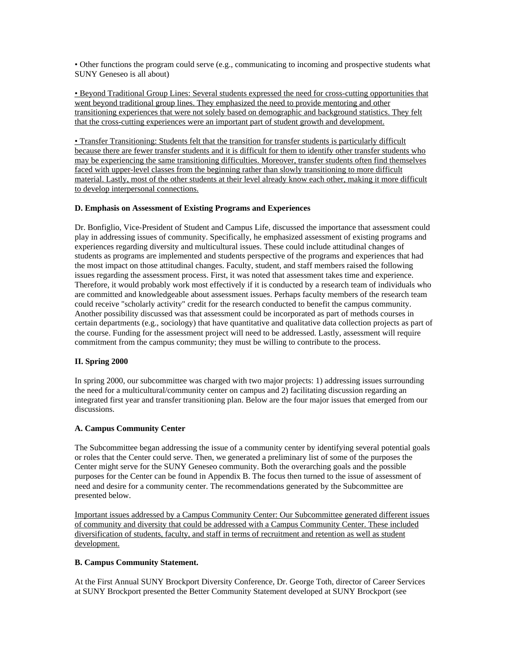• Other functions the program could serve (e.g., communicating to incoming and prospective students what SUNY Geneseo is all about)

• Beyond Traditional Group Lines: Several students expressed the need for cross-cutting opportunities that went beyond traditional group lines. They emphasized the need to provide mentoring and other transitioning experiences that were not solely based on demographic and background statistics. They felt that the cross-cutting experiences were an important part of student growth and development.

• Transfer Transitioning: Students felt that the transition for transfer students is particularly difficult because there are fewer transfer students and it is difficult for them to identify other transfer students who may be experiencing the same transitioning difficulties. Moreover, transfer students often find themselves faced with upper-level classes from the beginning rather than slowly transitioning to more difficult material. Lastly, most of the other students at their level already know each other, making it more difficult to develop interpersonal connections.

# **D. Emphasis on Assessment of Existing Programs and Experiences**

Dr. Bonfiglio, Vice-President of Student and Campus Life, discussed the importance that assessment could play in addressing issues of community. Specifically, he emphasized assessment of existing programs and experiences regarding diversity and multicultural issues. These could include attitudinal changes of students as programs are implemented and students perspective of the programs and experiences that had the most impact on those attitudinal changes. Faculty, student, and staff members raised the following issues regarding the assessment process. First, it was noted that assessment takes time and experience. Therefore, it would probably work most effectively if it is conducted by a research team of individuals who are committed and knowledgeable about assessment issues. Perhaps faculty members of the research team could receive "scholarly activity" credit for the research conducted to benefit the campus community. Another possibility discussed was that assessment could be incorporated as part of methods courses in certain departments (e.g., sociology) that have quantitative and qualitative data collection projects as part of the course. Funding for the assessment project will need to be addressed. Lastly, assessment will require commitment from the campus community; they must be willing to contribute to the process.

#### **II. Spring 2000**

In spring 2000, our subcommittee was charged with two major projects: 1) addressing issues surrounding the need for a multicultural/community center on campus and 2) facilitating discussion regarding an integrated first year and transfer transitioning plan. Below are the four major issues that emerged from our discussions.

# **A. Campus Community Center**

The Subcommittee began addressing the issue of a community center by identifying several potential goals or roles that the Center could serve. Then, we generated a preliminary list of some of the purposes the Center might serve for the SUNY Geneseo community. Both the overarching goals and the possible purposes for the Center can be found in Appendix B. The focus then turned to the issue of assessment of need and desire for a community center. The recommendations generated by the Subcommittee are presented below.

Important issues addressed by a Campus Community Center: Our Subcommittee generated different issues of community and diversity that could be addressed with a Campus Community Center. These included diversification of students, faculty, and staff in terms of recruitment and retention as well as student development.

#### **B. Campus Community Statement.**

At the First Annual SUNY Brockport Diversity Conference, Dr. George Toth, director of Career Services at SUNY Brockport presented the Better Community Statement developed at SUNY Brockport (see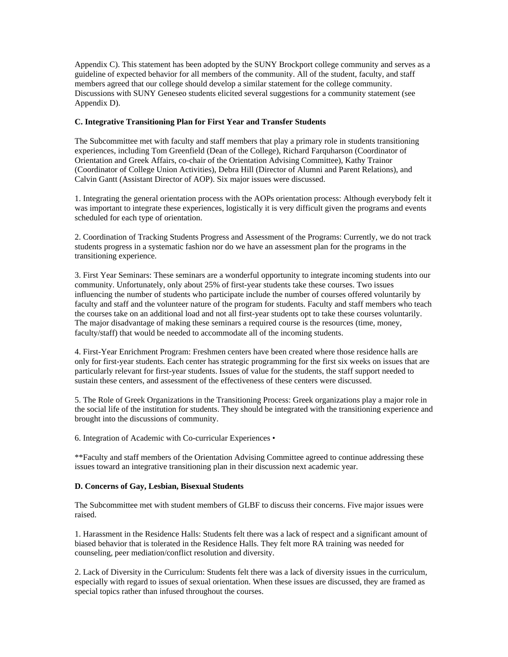Appendix C). This statement has been adopted by the SUNY Brockport college community and serves as a guideline of expected behavior for all members of the community. All of the student, faculty, and staff members agreed that our college should develop a similar statement for the college community. Discussions with SUNY Geneseo students elicited several suggestions for a community statement (see Appendix D).

## **C. Integrative Transitioning Plan for First Year and Transfer Students**

The Subcommittee met with faculty and staff members that play a primary role in students transitioning experiences, including Tom Greenfield (Dean of the College), Richard Farquharson (Coordinator of Orientation and Greek Affairs, co-chair of the Orientation Advising Committee), Kathy Trainor (Coordinator of College Union Activities), Debra Hill (Director of Alumni and Parent Relations), and Calvin Gantt (Assistant Director of AOP). Six major issues were discussed.

1. Integrating the general orientation process with the AOPs orientation process: Although everybody felt it was important to integrate these experiences, logistically it is very difficult given the programs and events scheduled for each type of orientation.

2. Coordination of Tracking Students Progress and Assessment of the Programs: Currently, we do not track students progress in a systematic fashion nor do we have an assessment plan for the programs in the transitioning experience.

3. First Year Seminars: These seminars are a wonderful opportunity to integrate incoming students into our community. Unfortunately, only about 25% of first-year students take these courses. Two issues influencing the number of students who participate include the number of courses offered voluntarily by faculty and staff and the volunteer nature of the program for students. Faculty and staff members who teach the courses take on an additional load and not all first-year students opt to take these courses voluntarily. The major disadvantage of making these seminars a required course is the resources (time, money, faculty/staff) that would be needed to accommodate all of the incoming students.

4. First-Year Enrichment Program: Freshmen centers have been created where those residence halls are only for first-year students. Each center has strategic programming for the first six weeks on issues that are particularly relevant for first-year students. Issues of value for the students, the staff support needed to sustain these centers, and assessment of the effectiveness of these centers were discussed.

5. The Role of Greek Organizations in the Transitioning Process: Greek organizations play a major role in the social life of the institution for students. They should be integrated with the transitioning experience and brought into the discussions of community.

6. Integration of Academic with Co-curricular Experiences •

\*\*Faculty and staff members of the Orientation Advising Committee agreed to continue addressing these issues toward an integrative transitioning plan in their discussion next academic year.

#### **D. Concerns of Gay, Lesbian, Bisexual Students**

The Subcommittee met with student members of GLBF to discuss their concerns. Five major issues were raised.

1. Harassment in the Residence Halls: Students felt there was a lack of respect and a significant amount of biased behavior that is tolerated in the Residence Halls. They felt more RA training was needed for counseling, peer mediation/conflict resolution and diversity.

2. Lack of Diversity in the Curriculum: Students felt there was a lack of diversity issues in the curriculum, especially with regard to issues of sexual orientation. When these issues are discussed, they are framed as special topics rather than infused throughout the courses.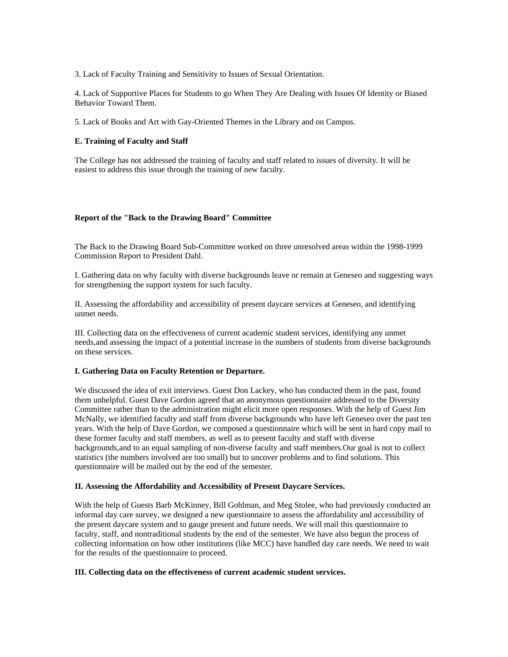3. Lack of Faculty Training and Sensitivity to Issues of Sexual Orientation.

4. Lack of Supportive Places for Students to go When They Are Dealing with Issues Of Identity or Biased Behavior Toward Them.

5. Lack of Books and Art with Gay-Oriented Themes in the Library and on Campus.

## **E. Training of Faculty and Staff**

The College has not addressed the training of faculty and staff related to issues of diversity. It will be easiest to address this issue through the training of new faculty.

#### **Report of the "Back to the Drawing Board" Committee**

The Back to the Drawing Board Sub-Committee worked on three unresolved areas within the 1998-1999 Commission Report to President Dahl.

I. Gathering data on why faculty with diverse backgrounds leave or remain at Geneseo and suggesting ways for strengthening the support system for such faculty.

II. Assessing the affordability and accessibility of present daycare services at Geneseo, and identifying unmet needs.

III. Collecting data on the effectiveness of current academic student services, identifying any unmet needs,and assessing the impact of a potential increase in the numbers of students from diverse backgrounds on these services.

#### **I. Gathering Data on Faculty Retention or Departure.**

We discussed the idea of exit interviews. Guest Don Lackey, who has conducted them in the past, found them unhelpful. Guest Dave Gordon agreed that an anonymous questionnaire addressed to the Diversity Committee rather than to the administration might elicit more open responses. With the help of Guest Jim McNally, we identified faculty and staff from diverse backgrounds who have left Geneseo over the past ten years. With the help of Dave Gordon, we composed a questionnaire which will be sent in hard copy mail to these former faculty and staff members, as well as to present faculty and staff with diverse backgrounds,and to an equal sampling of non-diverse faculty and staff members.Our goal is not to collect statistics (the numbers involved are too small) but to uncover problems and to find solutions. This questionnaire will be mailed out by the end of the semester.

# **II. Assessing the Affordability and Accessibility of Present Daycare Services.**

With the help of Guests Barb McKinney, Bill Gohlman, and Meg Stolee, who had previously conducted an informal day care survey, we designed a new questionnaire to assess the affordability and accessibility of the present daycare system and to gauge present and future needs. We will mail this questionnaire to faculty, staff, and nontraditional students by the end of the semester. We have also begun the process of collecting information on how other institutions (like MCC) have handled day care needs. We need to wait for the results of the questionnaire to proceed.

#### **III. Collecting data on the effectiveness of current academic student services.**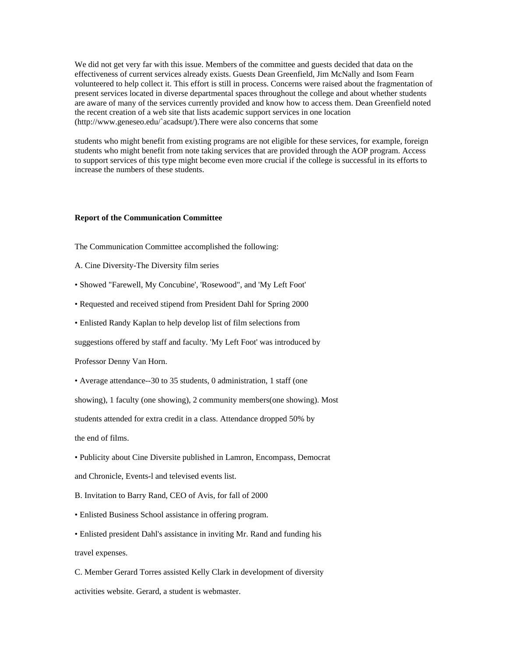We did not get very far with this issue. Members of the committee and guests decided that data on the effectiveness of current services already exists. Guests Dean Greenfield, Jim McNally and Isom Fearn volunteered to help collect it. This effort is still in process. Concerns were raised about the fragmentation of present services located in diverse departmental spaces throughout the college and about whether students are aware of many of the services currently provided and know how to access them. Dean Greenfield noted the recent creation of a web site that lists academic support services in one location (http://www.geneseo.edu/`acadsupt/).There were also concerns that some

students who might benefit from existing programs are not eligible for these services, for example, foreign students who might benefit from note taking services that are provided through the AOP program. Access to support services of this type might become even more crucial if the college is successful in its efforts to increase the numbers of these students.

#### **Report of the Communication Committee**

The Communication Committee accomplished the following:

- A. Cine Diversity-The Diversity film series
- Showed "Farewell, My Concubine', 'Rosewood", and 'My Left Foot'
- Requested and received stipend from President Dahl for Spring 2000
- Enlisted Randy Kaplan to help develop list of film selections from

suggestions offered by staff and faculty. 'My Left Foot' was introduced by

Professor Denny Van Horn.

• Average attendance--30 to 35 students, 0 administration, 1 staff (one

showing), 1 faculty (one showing), 2 community members(one showing). Most

students attended for extra credit in a class. Attendance dropped 50% by

the end of films.

• Publicity about Cine Diversite published in Lamron, Encompass, Democrat and Chronicle, Events-l and televised events list.

B. Invitation to Barry Rand, CEO of Avis, for fall of 2000

• Enlisted Business School assistance in offering program.

• Enlisted president Dahl's assistance in inviting Mr. Rand and funding his travel expenses.

C. Member Gerard Torres assisted Kelly Clark in development of diversity activities website. Gerard, a student is webmaster.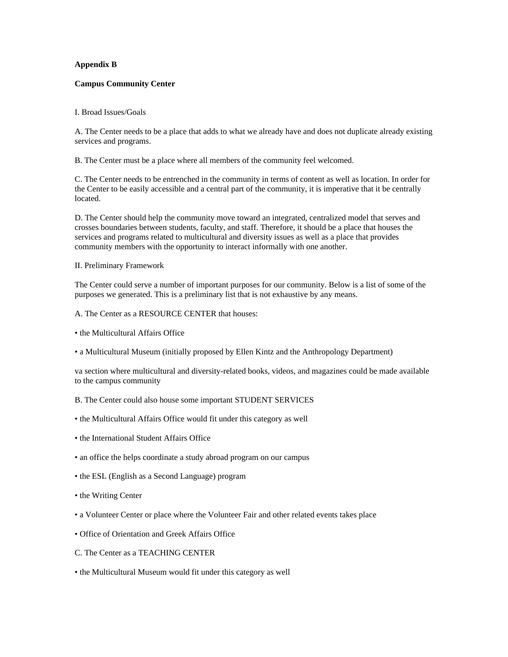## **Appendix B**

#### **Campus Community Center**

### I. Broad Issues/Goals

A. The Center needs to be a place that adds to what we already have and does not duplicate already existing services and programs.

B. The Center must be a place where all members of the community feel welcomed.

C. The Center needs to be entrenched in the community in terms of content as well as location. In order for the Center to be easily accessible and a central part of the community, it is imperative that it be centrally located.

D. The Center should help the community move toward an integrated, centralized model that serves and crosses boundaries between students, faculty, and staff. Therefore, it should be a place that houses the services and programs related to multicultural and diversity issues as well as a place that provides community members with the opportunity to interact informally with one another.

### II. Preliminary Framework

The Center could serve a number of important purposes for our community. Below is a list of some of the purposes we generated. This is a preliminary list that is not exhaustive by any means.

- A. The Center as a RESOURCE CENTER that houses:
- the Multicultural Affairs Office
- a Multicultural Museum (initially proposed by Ellen Kintz and the Anthropology Department)

va section where multicultural and diversity-related books, videos, and magazines could be made available to the campus community

- B. The Center could also house some important STUDENT SERVICES
- the Multicultural Affairs Office would fit under this category as well
- the International Student Affairs Office
- an office the helps coordinate a study abroad program on our campus
- the ESL (English as a Second Language) program
- the Writing Center
- a Volunteer Center or place where the Volunteer Fair and other related events takes place
- Office of Orientation and Greek Affairs Office
- C. The Center as a TEACHING CENTER
- the Multicultural Museum would fit under this category as well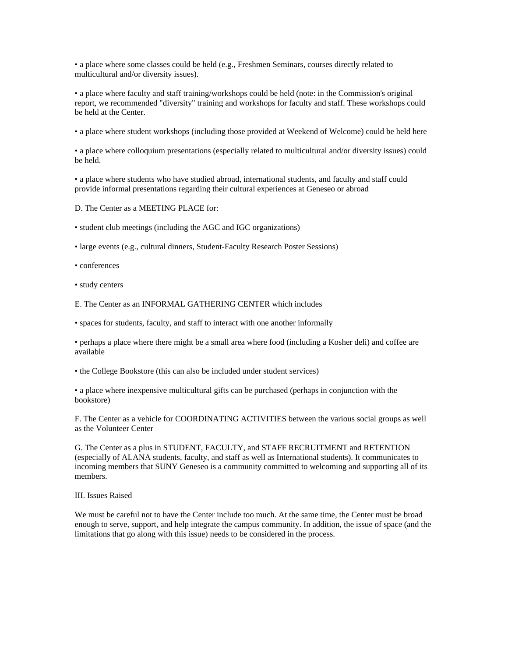• a place where some classes could be held (e.g., Freshmen Seminars, courses directly related to multicultural and/or diversity issues).

• a place where faculty and staff training/workshops could be held (note: in the Commission's original report, we recommended "diversity" training and workshops for faculty and staff. These workshops could be held at the Center.

• a place where student workshops (including those provided at Weekend of Welcome) could be held here

• a place where colloquium presentations (especially related to multicultural and/or diversity issues) could be held.

• a place where students who have studied abroad, international students, and faculty and staff could provide informal presentations regarding their cultural experiences at Geneseo or abroad

D. The Center as a MEETING PLACE for:

• student club meetings (including the AGC and IGC organizations)

• large events (e.g., cultural dinners, Student-Faculty Research Poster Sessions)

• conferences

• study centers

E. The Center as an INFORMAL GATHERING CENTER which includes

• spaces for students, faculty, and staff to interact with one another informally

• perhaps a place where there might be a small area where food (including a Kosher deli) and coffee are available

• the College Bookstore (this can also be included under student services)

• a place where inexpensive multicultural gifts can be purchased (perhaps in conjunction with the bookstore)

F. The Center as a vehicle for COORDINATING ACTIVITIES between the various social groups as well as the Volunteer Center

G. The Center as a plus in STUDENT, FACULTY, and STAFF RECRUITMENT and RETENTION (especially of ALANA students, faculty, and staff as well as International students). It communicates to incoming members that SUNY Geneseo is a community committed to welcoming and supporting all of its members.

III. Issues Raised

We must be careful not to have the Center include too much. At the same time, the Center must be broad enough to serve, support, and help integrate the campus community. In addition, the issue of space (and the limitations that go along with this issue) needs to be considered in the process.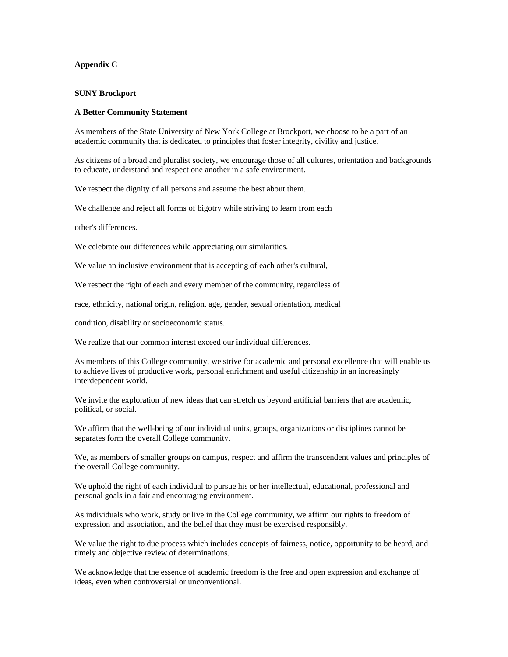## **Appendix C**

#### **SUNY Brockport**

#### **A Better Community Statement**

As members of the State University of New York College at Brockport, we choose to be a part of an academic community that is dedicated to principles that foster integrity, civility and justice.

As citizens of a broad and pluralist society, we encourage those of all cultures, orientation and backgrounds to educate, understand and respect one another in a safe environment.

We respect the dignity of all persons and assume the best about them.

We challenge and reject all forms of bigotry while striving to learn from each

other's differences.

We celebrate our differences while appreciating our similarities.

We value an inclusive environment that is accepting of each other's cultural,

We respect the right of each and every member of the community, regardless of

race, ethnicity, national origin, religion, age, gender, sexual orientation, medical

condition, disability or socioeconomic status.

We realize that our common interest exceed our individual differences.

As members of this College community, we strive for academic and personal excellence that will enable us to achieve lives of productive work, personal enrichment and useful citizenship in an increasingly interdependent world.

We invite the exploration of new ideas that can stretch us beyond artificial barriers that are academic, political, or social.

We affirm that the well-being of our individual units, groups, organizations or disciplines cannot be separates form the overall College community.

We, as members of smaller groups on campus, respect and affirm the transcendent values and principles of the overall College community.

We uphold the right of each individual to pursue his or her intellectual, educational, professional and personal goals in a fair and encouraging environment.

As individuals who work, study or live in the College community, we affirm our rights to freedom of expression and association, and the belief that they must be exercised responsibly.

We value the right to due process which includes concepts of fairness, notice, opportunity to be heard, and timely and objective review of determinations.

We acknowledge that the essence of academic freedom is the free and open expression and exchange of ideas, even when controversial or unconventional.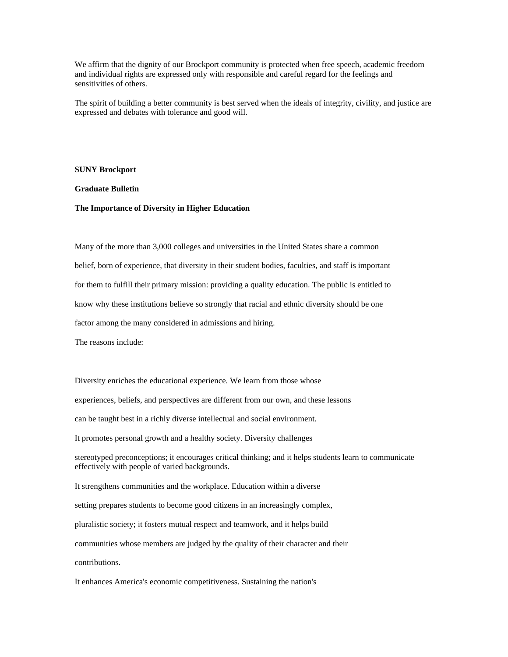We affirm that the dignity of our Brockport community is protected when free speech, academic freedom and individual rights are expressed only with responsible and careful regard for the feelings and sensitivities of others.

The spirit of building a better community is best served when the ideals of integrity, civility, and justice are expressed and debates with tolerance and good will.

#### **SUNY Brockport**

## **Graduate Bulletin**

#### **The Importance of Diversity in Higher Education**

Many of the more than 3,000 colleges and universities in the United States share a common belief, born of experience, that diversity in their student bodies, faculties, and staff is important for them to fulfill their primary mission: providing a quality education. The public is entitled to know why these institutions believe so strongly that racial and ethnic diversity should be one factor among the many considered in admissions and hiring.

The reasons include:

Diversity enriches the educational experience. We learn from those whose experiences, beliefs, and perspectives are different from our own, and these lessons can be taught best in a richly diverse intellectual and social environment. It promotes personal growth and a healthy society. Diversity challenges stereotyped preconceptions; it encourages critical thinking; and it helps students learn to communicate effectively with people of varied backgrounds. It strengthens communities and the workplace. Education within a diverse setting prepares students to become good citizens in an increasingly complex, pluralistic society; it fosters mutual respect and teamwork, and it helps build communities whose members are judged by the quality of their character and their contributions.

It enhances America's economic competitiveness. Sustaining the nation's